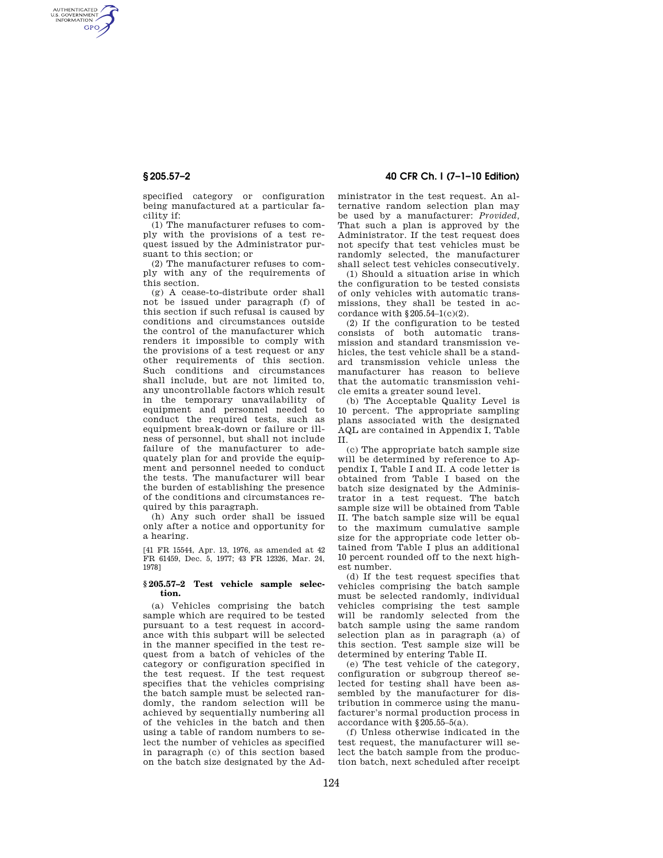AUTHENTICATED<br>U.S. GOVERNMENT<br>INFORMATION **GPO** 

**§ 205.57–2 40 CFR Ch. I (7–1–10 Edition)** 

specified category or configuration being manufactured at a particular facility if:

(1) The manufacturer refuses to comply with the provisions of a test request issued by the Administrator pursuant to this section; or

(2) The manufacturer refuses to comply with any of the requirements of this section.

(g) A cease-to-distribute order shall not be issued under paragraph (f) of this section if such refusal is caused by conditions and circumstances outside the control of the manufacturer which renders it impossible to comply with the provisions of a test request or any other requirements of this section. Such conditions and circumstances shall include, but are not limited to, any uncontrollable factors which result in the temporary unavailability of equipment and personnel needed to conduct the required tests, such as equipment break-down or failure or illness of personnel, but shall not include failure of the manufacturer to adequately plan for and provide the equipment and personnel needed to conduct the tests. The manufacturer will bear the burden of establishing the presence of the conditions and circumstances required by this paragraph.

(h) Any such order shall be issued only after a notice and opportunity for a hearing.

[41 FR 15544, Apr. 13, 1976, as amended at 42 FR 61459, Dec. 5, 1977; 43 FR 12326, Mar. 24, 1978]

### **§ 205.57–2 Test vehicle sample selection.**

(a) Vehicles comprising the batch sample which are required to be tested pursuant to a test request in accordance with this subpart will be selected in the manner specified in the test request from a batch of vehicles of the category or configuration specified in the test request. If the test request specifies that the vehicles comprising the batch sample must be selected randomly, the random selection will be achieved by sequentially numbering all of the vehicles in the batch and then using a table of random numbers to select the number of vehicles as specified in paragraph (c) of this section based on the batch size designated by the Administrator in the test request. An alternative random selection plan may be used by a manufacturer: *Provided,*  That such a plan is approved by the Administrator. If the test request does not specify that test vehicles must be randomly selected, the manufacturer shall select test vehicles consecutively.

(1) Should a situation arise in which the configuration to be tested consists of only vehicles with automatic transmissions, they shall be tested in accordance with  $§205.54-1(c)(2)$ .

(2) If the configuration to be tested consists of both automatic transmission and standard transmission vehicles, the test vehicle shall be a standard transmission vehicle unless the manufacturer has reason to believe that the automatic transmission vehicle emits a greater sound level.

(b) The Acceptable Quality Level is 10 percent. The appropriate sampling plans associated with the designated AQL are contained in Appendix I, Table II.

(c) The appropriate batch sample size will be determined by reference to Appendix I, Table I and II. A code letter is obtained from Table I based on the batch size designated by the Administrator in a test request. The batch sample size will be obtained from Table II. The batch sample size will be equal to the maximum cumulative sample size for the appropriate code letter obtained from Table I plus an additional 10 percent rounded off to the next highest number.

(d) If the test request specifies that vehicles comprising the batch sample must be selected randomly, individual vehicles comprising the test sample will be randomly selected from the batch sample using the same random selection plan as in paragraph (a) of this section. Test sample size will be determined by entering Table II.

(e) The test vehicle of the category, configuration or subgroup thereof selected for testing shall have been assembled by the manufacturer for distribution in commerce using the manufacturer's normal production process in accordance with §205.55–5(a).

(f) Unless otherwise indicated in the test request, the manufacturer will select the batch sample from the production batch, next scheduled after receipt